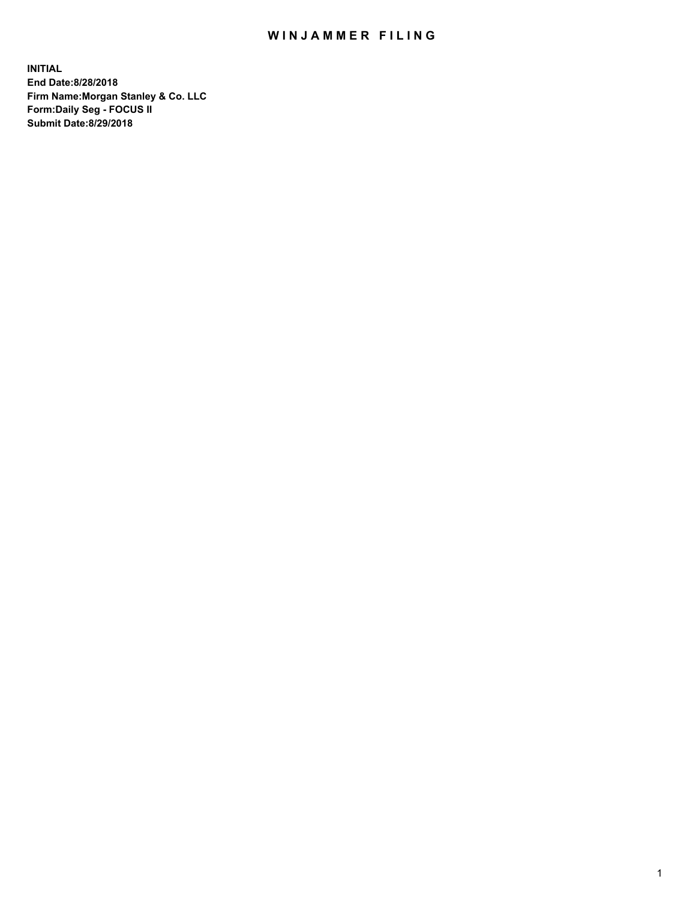## WIN JAMMER FILING

**INITIAL End Date:8/28/2018 Firm Name:Morgan Stanley & Co. LLC Form:Daily Seg - FOCUS II Submit Date:8/29/2018**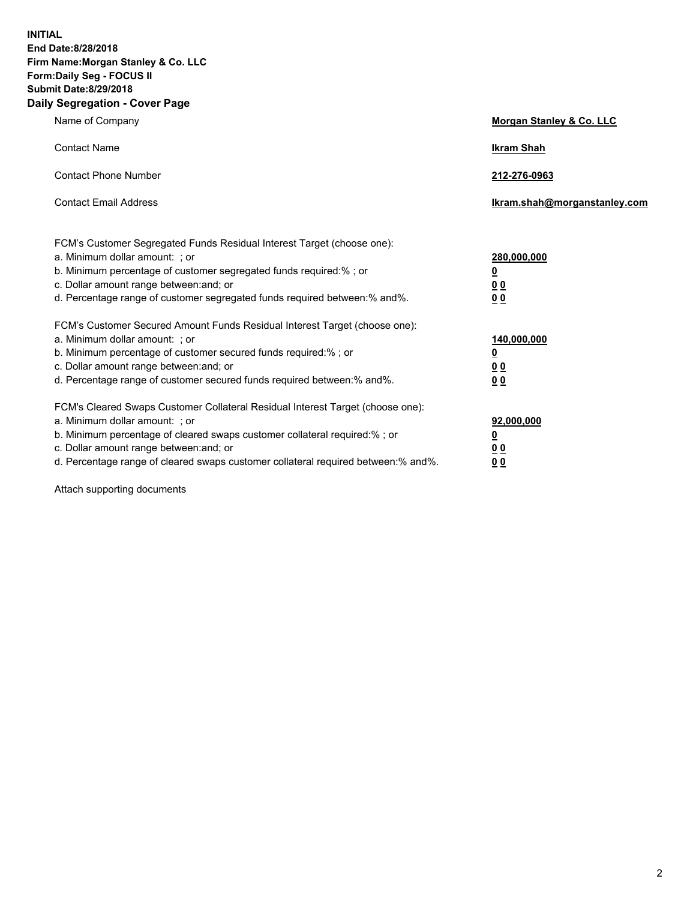**INITIAL End Date:8/28/2018 Firm Name:Morgan Stanley & Co. LLC Form:Daily Seg - FOCUS II Submit Date:8/29/2018 Daily Segregation - Cover Page**

| Name of Company                                                                                                                                                                                                                                                                                                                | Morgan Stanley & Co. LLC                               |
|--------------------------------------------------------------------------------------------------------------------------------------------------------------------------------------------------------------------------------------------------------------------------------------------------------------------------------|--------------------------------------------------------|
| <b>Contact Name</b>                                                                                                                                                                                                                                                                                                            | <b>Ikram Shah</b>                                      |
| <b>Contact Phone Number</b>                                                                                                                                                                                                                                                                                                    | 212-276-0963                                           |
| <b>Contact Email Address</b>                                                                                                                                                                                                                                                                                                   | lkram.shah@morganstanley.com                           |
| FCM's Customer Segregated Funds Residual Interest Target (choose one):<br>a. Minimum dollar amount: ; or<br>b. Minimum percentage of customer segregated funds required:% ; or<br>c. Dollar amount range between: and; or<br>d. Percentage range of customer segregated funds required between:% and%.                         | 280,000,000<br><u>0</u><br><u>0 0</u><br>0 Q           |
| FCM's Customer Secured Amount Funds Residual Interest Target (choose one):<br>a. Minimum dollar amount: ; or<br>b. Minimum percentage of customer secured funds required:%; or<br>c. Dollar amount range between: and; or<br>d. Percentage range of customer secured funds required between:% and%.                            | 140,000,000<br><u>0</u><br><u>00</u><br>0 <sub>0</sub> |
| FCM's Cleared Swaps Customer Collateral Residual Interest Target (choose one):<br>a. Minimum dollar amount: ; or<br>b. Minimum percentage of cleared swaps customer collateral required:% ; or<br>c. Dollar amount range between: and; or<br>d. Percentage range of cleared swaps customer collateral required between:% and%. | 92,000,000<br><u>0</u><br><u>00</u><br>0 <sup>0</sup>  |

Attach supporting documents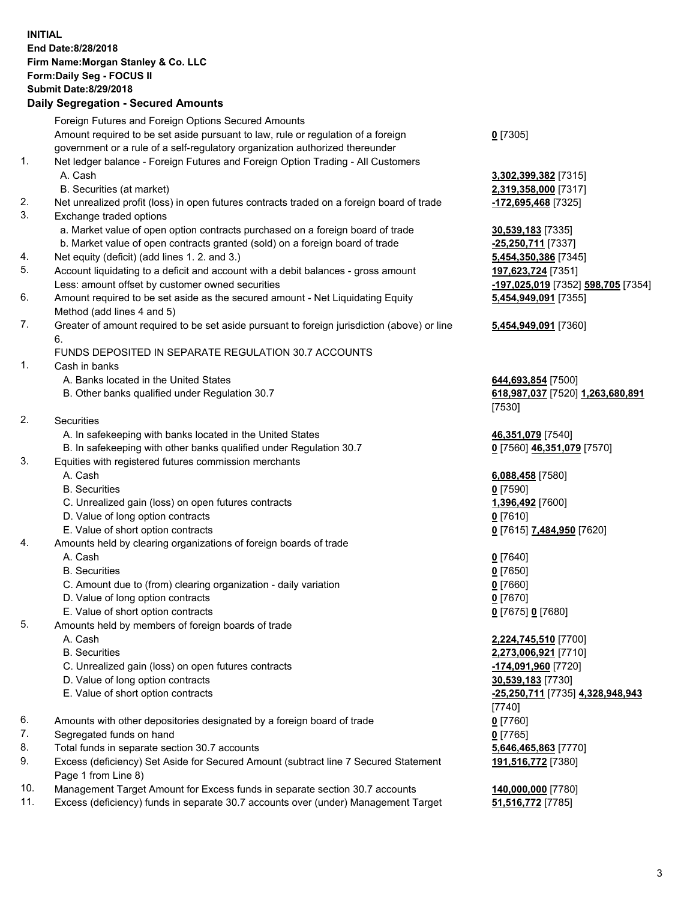## **INITIAL End Date:8/28/2018 Firm Name:Morgan Stanley & Co. LLC Form:Daily Seg - FOCUS II Submit Date:8/29/2018**

## **Daily Segregation - Secured Amounts**

|          | Foreign Futures and Foreign Options Secured Amounts                                                                    |                                              |
|----------|------------------------------------------------------------------------------------------------------------------------|----------------------------------------------|
|          | Amount required to be set aside pursuant to law, rule or regulation of a foreign                                       | $0$ [7305]                                   |
|          | government or a rule of a self-regulatory organization authorized thereunder                                           |                                              |
| 1.       | Net ledger balance - Foreign Futures and Foreign Option Trading - All Customers                                        |                                              |
|          | A. Cash                                                                                                                | 3,302,399,382 [7315]<br>2,319,358,000 [7317] |
| 2.       | B. Securities (at market)<br>Net unrealized profit (loss) in open futures contracts traded on a foreign board of trade | -172,695,468 [7325]                          |
| 3.       | Exchange traded options                                                                                                |                                              |
|          | a. Market value of open option contracts purchased on a foreign board of trade                                         | 30,539,183 [7335]                            |
|          | b. Market value of open contracts granted (sold) on a foreign board of trade                                           | -25,250,711 [7337]                           |
| 4.       | Net equity (deficit) (add lines 1.2. and 3.)                                                                           | 5,454,350,386 [7345]                         |
| 5.       | Account liquidating to a deficit and account with a debit balances - gross amount                                      | 197,623,724 [7351]                           |
|          | Less: amount offset by customer owned securities                                                                       | -197,025,019 [7352] !                        |
| 6.       | Amount required to be set aside as the secured amount - Net Liquidating Equity                                         | 5,454,949,091 [7355]                         |
|          | Method (add lines 4 and 5)                                                                                             |                                              |
| 7.       | Greater of amount required to be set aside pursuant to foreign jurisdiction (above) or line                            | 5,454,949,091 [7360]                         |
|          | 6.                                                                                                                     |                                              |
|          | FUNDS DEPOSITED IN SEPARATE REGULATION 30.7 ACCOUNTS                                                                   |                                              |
| 1.       | Cash in banks                                                                                                          |                                              |
|          | A. Banks located in the United States                                                                                  | 644,693,854 [7500]                           |
|          | B. Other banks qualified under Regulation 30.7                                                                         | 618,987,037 [7520] 1                         |
|          |                                                                                                                        | [7530]                                       |
| 2.       | Securities                                                                                                             |                                              |
|          | A. In safekeeping with banks located in the United States                                                              | 46,351,079 [7540]                            |
| 3.       | B. In safekeeping with other banks qualified under Regulation 30.7                                                     | 0 [7560] 46,351,079 [                        |
|          | Equities with registered futures commission merchants<br>A. Cash                                                       |                                              |
|          | <b>B.</b> Securities                                                                                                   | 6,088,458 [7580]<br>$0$ [7590]               |
|          | C. Unrealized gain (loss) on open futures contracts                                                                    | 1,396,492 [7600]                             |
|          | D. Value of long option contracts                                                                                      | $0$ [7610]                                   |
|          | E. Value of short option contracts                                                                                     | 0 [7615] 7,484,950 [7                        |
| 4.       | Amounts held by clearing organizations of foreign boards of trade                                                      |                                              |
|          | A. Cash                                                                                                                | $0$ [7640]                                   |
|          | <b>B.</b> Securities                                                                                                   | $0$ [7650]                                   |
|          | C. Amount due to (from) clearing organization - daily variation                                                        | $0$ [7660]                                   |
|          | D. Value of long option contracts                                                                                      | $0$ [7670]                                   |
|          | E. Value of short option contracts                                                                                     | 0 [7675] 0 [7680]                            |
| 5.       | Amounts held by members of foreign boards of trade                                                                     |                                              |
|          | A. Cash                                                                                                                | 2,224,745,510 [7700]                         |
|          | <b>B.</b> Securities                                                                                                   | 2,273,006,921 [7710]                         |
|          | C. Unrealized gain (loss) on open futures contracts                                                                    | -174,091,960 [7720]                          |
|          | D. Value of long option contracts                                                                                      | 30,539,183 [7730]                            |
|          | E. Value of short option contracts                                                                                     | <mark>-25,250,711</mark> [7735] 4,           |
|          |                                                                                                                        | [7740]                                       |
| 6.       | Amounts with other depositories designated by a foreign board of trade                                                 | $0$ [7760]                                   |
| 7.       | Segregated funds on hand                                                                                               | $0$ [7765]                                   |
| 8.<br>9. | Total funds in separate section 30.7 accounts                                                                          | 5,646,465,863 [7770]                         |
|          | Excess (deficiency) Set Aside for Secured Amount (subtract line 7 Secured Statement<br>Page 1 from Line 8)             | 191,516,772 [7380]                           |

- 10. Management Target Amount for Excess funds in separate section 30.7 accounts **140,000,000** [7780]
- 11. Excess (deficiency) funds in separate 30.7 accounts over (under) Management Target **51,516,772** [7785]

**8,000** [7317] Less: amount offset by customer owned securities **-197,025,019** [7352] **598,705** [7354] **9,091** [7355]

## **9,091** [7360]

B. Other banks qualified under Regulation 30.7 **618,987,037** [7520] **1,263,680,891**

 $\underline{46,351,079}$  [7570]

E. Value of short option contracts **0** [7615] **7,484,950** [7620]

 A. Cash **2,224,745,510** [7700] **6,921** [7710] E. Value of short option contracts **-25,250,711** [7735] **4,328,948,943 191,516,772** [7380]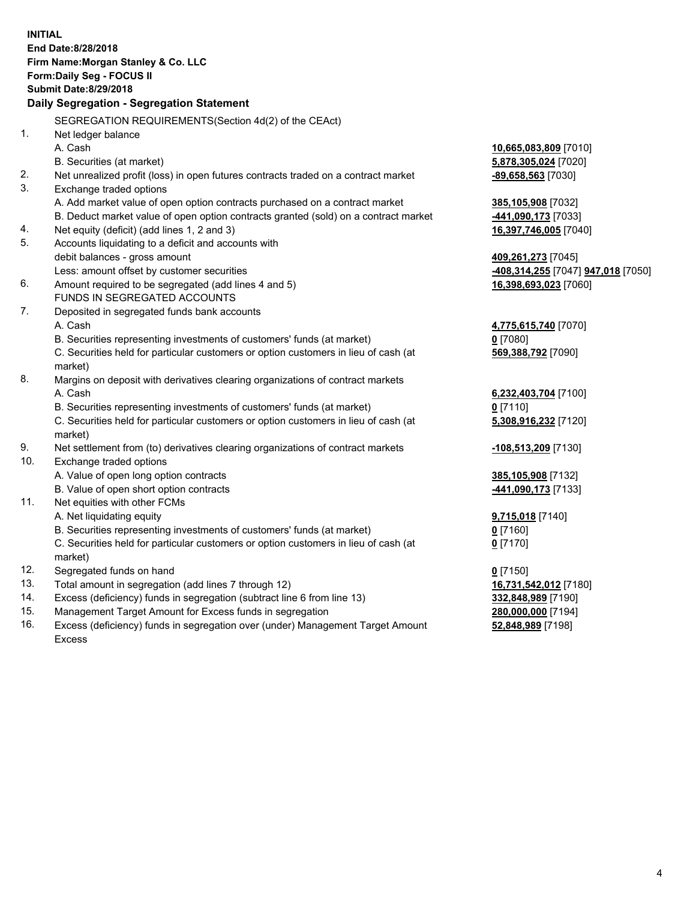|     | <b>INITIAL</b><br>End Date: 8/28/2018<br>Firm Name: Morgan Stanley & Co. LLC<br>Form: Daily Seg - FOCUS II<br><b>Submit Date:8/29/2018</b> |                                                              |
|-----|--------------------------------------------------------------------------------------------------------------------------------------------|--------------------------------------------------------------|
|     | Daily Segregation - Segregation Statement                                                                                                  |                                                              |
|     | SEGREGATION REQUIREMENTS(Section 4d(2) of the CEAct)                                                                                       |                                                              |
| 1.  | Net ledger balance                                                                                                                         |                                                              |
|     | A. Cash                                                                                                                                    | 10,665,083,809 [7010]                                        |
|     | B. Securities (at market)                                                                                                                  | 5,878,305,024 [7020]                                         |
| 2.  | Net unrealized profit (loss) in open futures contracts traded on a contract market                                                         | -89,658,563 [7030]                                           |
| 3.  | Exchange traded options                                                                                                                    |                                                              |
|     | A. Add market value of open option contracts purchased on a contract market                                                                | 385,105,908 [7032]                                           |
|     | B. Deduct market value of open option contracts granted (sold) on a contract market                                                        | -441,090,173 [7033]                                          |
| 4.  | Net equity (deficit) (add lines 1, 2 and 3)                                                                                                | 16,397,746,005 [7040]                                        |
| 5.  | Accounts liquidating to a deficit and accounts with                                                                                        |                                                              |
|     | debit balances - gross amount                                                                                                              | 409,261,273 [7045]                                           |
|     | Less: amount offset by customer securities                                                                                                 | <mark>-408,314,255</mark> [7047] <mark>947,018</mark> [7050] |
| 6.  | Amount required to be segregated (add lines 4 and 5)                                                                                       | 16,398,693,023 [7060]                                        |
|     | FUNDS IN SEGREGATED ACCOUNTS                                                                                                               |                                                              |
| 7.  | Deposited in segregated funds bank accounts                                                                                                |                                                              |
|     | A. Cash                                                                                                                                    | 4,775,615,740 [7070]                                         |
|     | B. Securities representing investments of customers' funds (at market)                                                                     | $0$ [7080]                                                   |
|     | C. Securities held for particular customers or option customers in lieu of cash (at                                                        | 569,388,792 [7090]                                           |
|     | market)                                                                                                                                    |                                                              |
| 8.  | Margins on deposit with derivatives clearing organizations of contract markets                                                             |                                                              |
|     | A. Cash                                                                                                                                    | 6,232,403,704 [7100]                                         |
|     | B. Securities representing investments of customers' funds (at market)                                                                     | $0$ [7110]                                                   |
|     | C. Securities held for particular customers or option customers in lieu of cash (at<br>market)                                             | 5,308,916,232 [7120]                                         |
| 9.  | Net settlement from (to) derivatives clearing organizations of contract markets                                                            | -108,513,209 [7130]                                          |
| 10. | Exchange traded options                                                                                                                    |                                                              |
|     | A. Value of open long option contracts                                                                                                     | 385,105,908 [7132]                                           |
|     | B. Value of open short option contracts                                                                                                    | -441,090,173 [7133]                                          |
| 11. | Net equities with other FCMs                                                                                                               |                                                              |
|     | A. Net liquidating equity                                                                                                                  | 9,715,018 [7140]                                             |
|     | B. Securities representing investments of customers' funds (at market)                                                                     | $0$ [7160]                                                   |
|     | C. Securities held for particular customers or option customers in lieu of cash (at                                                        | $0$ [7170]                                                   |
|     | market)                                                                                                                                    |                                                              |
| 12. | Segregated funds on hand                                                                                                                   | $0$ [7150]                                                   |
| 13. | Total amount in segregation (add lines 7 through 12)                                                                                       | 16,731,542,012 [7180]                                        |
| 14. | Excess (deficiency) funds in segregation (subtract line 6 from line 13)                                                                    | 332,848,989 [7190]                                           |
| 15. | Management Target Amount for Excess funds in segregation                                                                                   | 280,000,000 [7194]                                           |
| 16. | Excess (deficiency) funds in segregation over (under) Management Target Amount                                                             | 52,848,989 [7198]                                            |

16. Excess (deficiency) funds in segregation over (under) Management Target Amount Excess